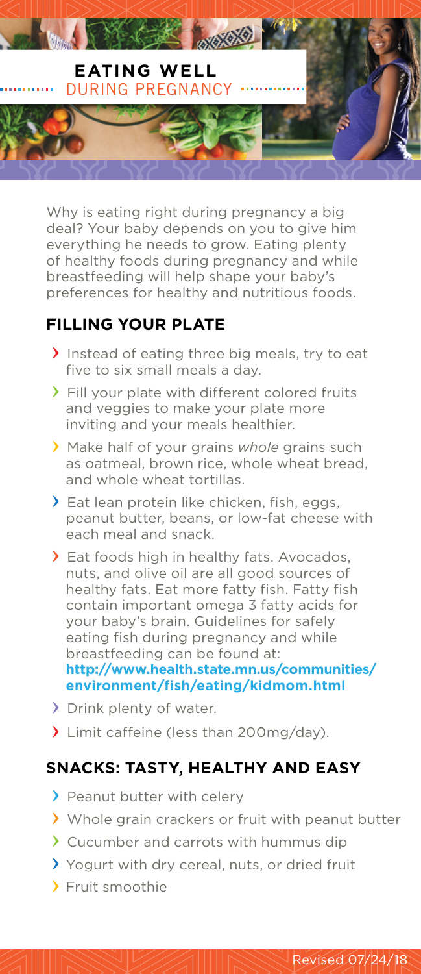

Why is eating right during pregnancy a big deal? Your baby depends on you to give him everything he needs to grow. Eating plenty of healthy foods during pregnancy and while breastfeeding will help shape your baby's preferences for healthy and nutritious foods.

## **FILLING YOUR PLATE**

- Instead of eating three big meals, try to eat five to six small meals a day.
- Fill your plate with different colored fruits and veggies to make your plate more inviting and your meals healthier.
- Make half of your grains *whole* grains such as oatmeal, brown rice, whole wheat bread, and whole wheat tortillas.
- Eat lean protein like chicken, fish, eggs, peanut butter, beans, or low-fat cheese with each meal and snack.
- > Eat foods high in healthy fats. Avocados, nuts, and olive oil are all good sources of healthy fats. Eat more fatty fish. Fatty fish contain important omega 3 fatty acids for your baby's brain. Guidelines for safely eating fish during pregnancy and while breastfeeding can be found at: **[http://www.health.state.mn.us/communities/](http://www.health.state.mn.us/communities/environment/fish/eating/kidmom.html) environment/fish/eating/kidmom.html**
- Drink plenty of water.
- Ilmit caffeine (less than 200mg/day).

## **SNACKS: TASTY, HEALTHY AND EASY**

- > Peanut butter with celery
- Whole grain crackers or fruit with peanut butter
- Cucumber and carrots with hummus dip
- Yogurt with dry cereal, nuts, or dried fruit
- Fruit smoothie